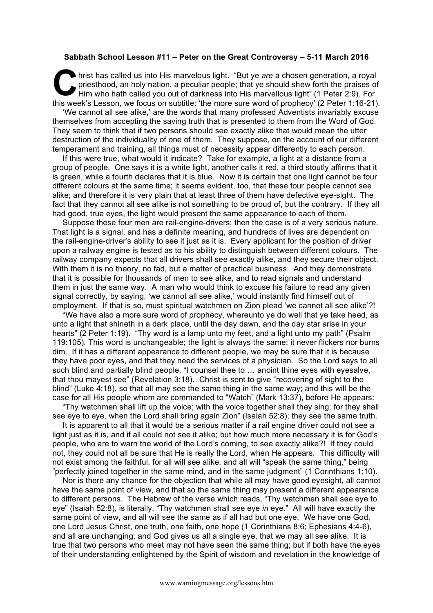## **Sabbath School Lesson #11 – Peter on the Great Controversy – 5-11 March 2016**

hrist has called us into His marvelous light. "But ye *are* a chosen generation, a royal priesthood, an holy nation, a peculiar people; that ye should shew forth the praises of Him who hath called you out of darkness into His marvellous light" (1 Peter 2:9). For this week's Lesson, we focus on subtitle: 'the more sure word of prophecy' (2 Peter 1:16-21). **C** priority

'We cannot all see alike,' are the words that many professed Adventists invariably excuse themselves from accepting the saving truth that is presented to them from the Word of God. They seem to think that if two persons should see exactly alike that would mean the utter destruction of the individuality of one of them. They suppose, on the account of our different temperament and training, all things must of necessity appear differently to each person.

If this were true, what would it indicate? Take for example, a light at a distance from a group of people. One says it is a white light, another calls it red, a third stoutly affirms that it is green, while a fourth declares that it is blue. Now it is certain that one light cannot be four different colours at the same time; it seems evident, too, that these four people cannot see alike; and therefore it is very plain that at least three of them have defective eye-sight. The fact that they cannot all see alike is not something to be proud of, but the contrary. If they all had good, true eyes, the light would present the same appearance to each of them.

Suppose these four men are rail-engine-drivers; then the case is of a very serious nature. That light is a signal, and has a definite meaning, and hundreds of lives are dependent on the rail-engine-driver's ability to see it just as it is. Every applicant for the position of driver upon a railway engine is tested as to his ability to distinguish between different colours. The railway company expects that all drivers shall see exactly alike, and they secure their object. With them it is no theory, no fad, but a matter of practical business. And they demonstrate that it is possible for thousands of men to see alike, and to read signals and understand them in just the same way. A man who would think to excuse his failure to read any given signal correctly, by saying, 'we cannot all see alike,' would instantly find himself out of employment. If that is so, must spiritual watchmen on Zion plead 'we cannot all see alike'?!

"We have also a more sure word of prophecy, whereunto ye do well that ye take heed, as unto a light that shineth in a dark place, until the day dawn, and the day star arise in your hearts" (2 Peter 1:19). "Thy word is a lamp unto my feet, and a light unto my path" (Psalm 119:105). This word is unchangeable; the light is always the same; it never flickers nor burns dim. If it has a different appearance to different people, we may be sure that it is because they have poor eyes, and that they need the services of a physician. So the Lord says to all such blind and partially blind people, "I counsel thee to … anoint thine eyes with eyesalve, that thou mayest see" (Revelation 3:18). Christ is sent to give "recovering of sight to the blind" (Luke 4:18), so that all may see the same thing in the same way; and this will be the case for all His people whom are commanded to "Watch" (Mark 13:37), before He appears:

"Thy watchmen shall lift up the voice; with the voice together shall they sing; for they shall see eye to eye, when the Lord shall bring again Zion" (Isaiah 52:8); they see the same truth.

It is apparent to all that it would be a serious matter if a rail engine driver could not see a light just as it is, and if all could not see it alike; but how much more necessary it is for God's people, who are to warn the world of the Lord's coming, to see exactly alike?! If they could not, they could not all be sure that He is really the Lord, when He appears. This difficulty will not exist among the faithful, for all will see alike, and all will "speak the same thing," being "perfectly joined together in the same mind, and in the same judgment" (1 Corinthians 1:10).

Nor is there any chance for the objection that while all may have good eyesight, all cannot have the same point of view, and that so the same thing may present a different appearance to different persons. The Hebrew of the verse which reads, "Thy watchmen shall see eye to eye" (Isaiah 52:8), is literally, "Thy watchmen shall see eye *in* eye." All will have exactly the same point of view, and all will see the same as if all had but one eye. We have one God, one Lord Jesus Christ, one truth, one faith, one hope (1 Corinthians 8:6; Ephesians 4:4-6), and all are unchanging; and God gives us all a single eye, that we may all see alike. It is true that two persons who meet may not have seen the same thing; but if both have the eyes of their understanding enlightened by the Spirit of wisdom and revelation in the knowledge of